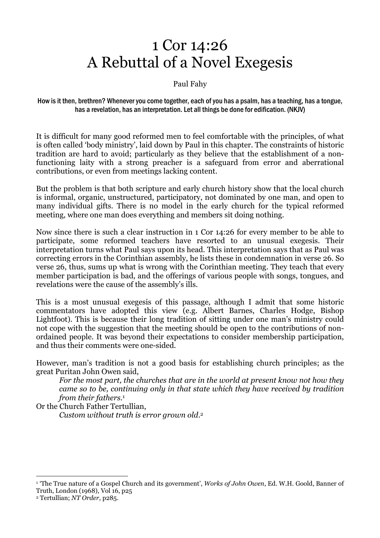# 1 Cor 14:26 A Rebuttal of a Novel Exegesis

#### Paul Fahy

#### How is it then, brethren? Whenever you come together, each of you has a psalm, has a teaching, has a tongue, has a revelation, has an interpretation. Let all things be done for edification. (NKJV)

It is difficult for many good reformed men to feel comfortable with the principles, of what is often called 'body ministry', laid down by Paul in this chapter. The constraints of historic tradition are hard to avoid; particularly as they believe that the establishment of a nonfunctioning laity with a strong preacher is a safeguard from error and aberrational contributions, or even from meetings lacking content.

But the problem is that both scripture and early church history show that the local church is informal, organic, unstructured, participatory, not dominated by one man, and open to many individual gifts. There is no model in the early church for the typical reformed meeting, where one man does everything and members sit doing nothing.

Now since there is such a clear instruction in 1 Cor 14:26 for every member to be able to participate, some reformed teachers have resorted to an unusual exegesis. Their interpretation turns what Paul says upon its head. This interpretation says that as Paul was correcting errors in the Corinthian assembly, he lists these in condemnation in verse 26. So verse 26, thus, sums up what is wrong with the Corinthian meeting. They teach that every member participation is bad, and the offerings of various people with songs, tongues, and revelations were the cause of the assembly's ills.

This is a most unusual exegesis of this passage, although I admit that some historic commentators have adopted this view (e.g. Albert Barnes, Charles Hodge, Bishop Lightfoot). This is because their long tradition of sitting under one man's ministry could not cope with the suggestion that the meeting should be open to the contributions of nonordained people. It was beyond their expectations to consider membership participation, and thus their comments were one-sided.

However, man's tradition is not a good basis for establishing church principles; as the great Puritan John Owen said,

For the most part, the churches that are in the world at present know not how they came so to be, continuing only in that state which they have received by tradition from their fathers.<sup>1</sup>

Or the Church Father Tertullian,

Custom without truth is error grown old. 2

 $\overline{a}$ 

 $^{\rm 1}$  'The True nature of a Gospel Church and its government', *Works of John Owen*, Ed. W.H. Goold, Banner of Truth, London (1968), Vol 16, p25

<sup>2</sup> Tertullian; NT Order, p285.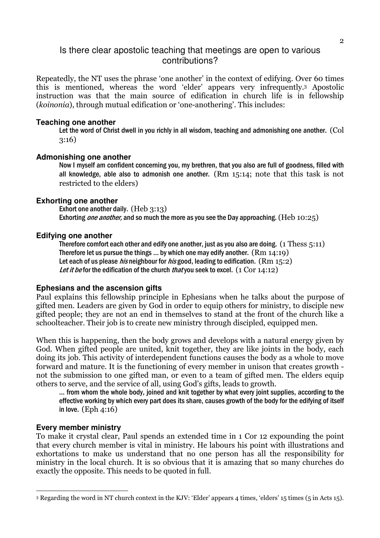## Is there clear apostolic teaching that meetings are open to various contributions?

Repeatedly, the NT uses the phrase 'one another' in the context of edifying. Over 60 times this is mentioned, whereas the word 'elder' appears very infrequently.3 Apostolic instruction was that the main source of edification in church life is in fellowship (koinonia), through mutual edification or 'one-anothering'. This includes:

#### **Teaching one another**

Let the word of Christ dwell in you richly in all wisdom, teaching and admonishing one another. (Col 3:16)

#### **Admonishing one another**

Now I myself am confident concerning you, my brethren, that you also are full of goodness, filled with all knowledge, able also to admonish one another. (Rm 15:14; note that this task is not restricted to the elders)

#### **Exhorting one another**

Exhort one another daily. (Heb 3:13) Exhorting *one another*, and so much the more as you see the Day approaching. (Heb  $10:25$ )

#### **Edifying one another**

Therefore comfort each other and edify one another, just as you also are doing.  $(1$  Thess  $5:11)$ Therefore let us pursue the things … by which one may edify another. (Rm 14:19) Let each of us please *his* neighbour for *his* good, leading to edification.  $(Rm 15:2)$ Let it be for the edification of the church that you seek to excel.  $(1 \text{ Cor } 14:12)$ 

#### **Ephesians and the ascension gifts**

Paul explains this fellowship principle in Ephesians when he talks about the purpose of gifted men. Leaders are given by God in order to equip others for ministry, to disciple new gifted people; they are not an end in themselves to stand at the front of the church like a schoolteacher. Their job is to create new ministry through discipled, equipped men.

When this is happening, then the body grows and develops with a natural energy given by God. When gifted people are united, knit together, they are like joints in the body, each doing its job. This activity of interdependent functions causes the body as a whole to move forward and mature. It is the functioning of every member in unison that creates growth not the submission to one gifted man, or even to a team of gifted men. The elders equip others to serve, and the service of all, using God's gifts, leads to growth.

… from whom the whole body, joined and knit together by what every joint supplies, according to the effective working by which every part does its share, causes growth of the body for the edifying of itself in love. (Eph 4:16)

#### **Every member ministry**

To make it crystal clear, Paul spends an extended time in 1 Cor 12 expounding the point that every church member is vital in ministry. He labours his point with illustrations and exhortations to make us understand that no one person has all the responsibility for ministry in the local church. It is so obvious that it is amazing that so many churches do exactly the opposite. This needs to be quoted in full.

I 3 Regarding the word in NT church context in the KJV: 'Elder' appears 4 times, 'elders' 15 times (5 in Acts 15).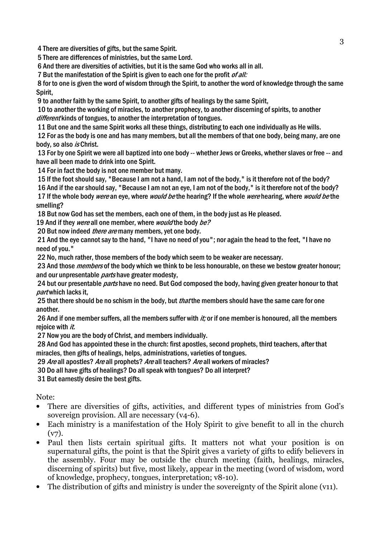4 There are diversities of gifts, but the same Spirit.

5 There are differences of ministries, but the same Lord.

6 And there are diversities of activities, but it is the same God who works all in all.

7 But the manifestation of the Spirit is given to each one for the profit *of all:* 

 8 for to one is given the word of wisdom through the Spirit, to another the word of knowledge through the same Spirit,

9 to another faith by the same Spirit, to another gifts of healings by the same Spirit,

 10 to another the working of miracles, to another prophecy, to another discerning of spirits, to another different kinds of tongues, to another the interpretation of tongues.

11 But one and the same Spirit works all these things, distributing to each one individually as He wills.

 12 For as the body is one and has many members, but all the members of that one body, being many, are one body, so also is Christ.

 13 For by one Spirit we were all baptized into one body -- whether Jews or Greeks, whether slaves or free -- and have all been made to drink into one Spirit.

14 For in fact the body is not one member but many.

15 If the foot should say, "Because I am not a hand, I am not of the body," is it therefore not of the body?

 16 And if the ear should say, "Because I am not an eye, I am not of the body," is it therefore not of the body? 17 If the whole body were an eye, where would be the hearing? If the whole were hearing, where would be the smelling?

18 But now God has set the members, each one of them, in the body just as He pleased.

19 And if they were all one member, where would the body be?

20 But now indeed *there are* many members, yet one body.

 21 And the eye cannot say to the hand, "I have no need of you"; nor again the head to the feet, "I have no need of you."

22 No, much rather, those members of the body which seem to be weaker are necessary.

23 And those *members* of the body which we think to be less honourable, on these we bestow greater honour; and our unpresentable *parts* have greater modesty,

24 but our presentable *parts* have no need. But God composed the body, having given greater honour to that part which lacks it.

25 that there should be no schism in the body, but *that* the members should have the same care for one another.

26 And if one member suffers, all the members suffer with *it*; or if one member is honoured, all the members rejoice with it.

27 Now you are the body of Christ, and members individually.

 28 And God has appointed these in the church: first apostles, second prophets, third teachers, after that miracles, then gifts of healings, helps, administrations, varieties of tongues.

29 Are all apostles? Are all prophets? Are all teachers? Are all workers of miracles?

30 Do all have gifts of healings? Do all speak with tongues? Do all interpret?

31 But earnestly desire the best gifts.

Note:

- There are diversities of gifts, activities, and different types of ministries from God's sovereign provision. All are necessary (v4-6).
- Each ministry is a manifestation of the Holy Spirit to give benefit to all in the church  $(v7)$ .
- Paul then lists certain spiritual gifts. It matters not what your position is on supernatural gifts, the point is that the Spirit gives a variety of gifts to edify believers in the assembly. Four may be outside the church meeting (faith, healings, miracles, discerning of spirits) but five, most likely, appear in the meeting (word of wisdom, word of knowledge, prophecy, tongues, interpretation; v8-10).
- The distribution of gifts and ministry is under the sovereignty of the Spirit alone (v11).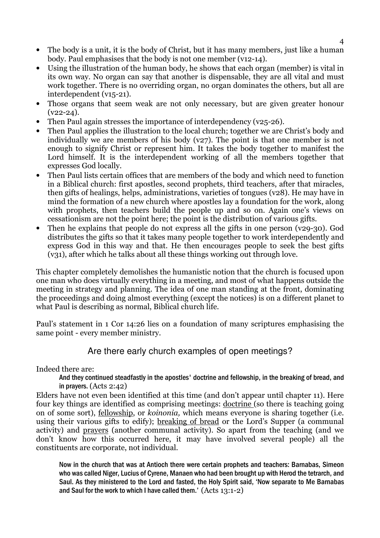- The body is a unit, it is the body of Christ, but it has many members, just like a human body. Paul emphasises that the body is not one member (v12-14).
- Using the illustration of the human body, he shows that each organ (member) is vital in its own way. No organ can say that another is dispensable, they are all vital and must work together. There is no overriding organ, no organ dominates the others, but all are interdependent (v15-21).
- Those organs that seem weak are not only necessary, but are given greater honour  $(v22-24)$ .
- Then Paul again stresses the importance of interdependency (v25-26).
- Then Paul applies the illustration to the local church; together we are Christ's body and individually we are members of his body (v27). The point is that one member is not enough to signify Christ or represent him. It takes the body together to manifest the Lord himself. It is the interdependent working of all the members together that expresses God locally.
- Then Paul lists certain offices that are members of the body and which need to function in a Biblical church: first apostles, second prophets, third teachers, after that miracles, then gifts of healings, helps, administrations, varieties of tongues (v28). He may have in mind the formation of a new church where apostles lay a foundation for the work, along with prophets, then teachers build the people up and so on. Again one's views on cessationism are not the point here; the point is the distribution of various gifts.
- Then he explains that people do not express all the gifts in one person (v29-30). God distributes the gifts so that it takes many people together to work interdependently and express God in this way and that. He then encourages people to seek the best gifts (v31), after which he talks about all these things working out through love.

This chapter completely demolishes the humanistic notion that the church is focused upon one man who does virtually everything in a meeting, and most of what happens outside the meeting in strategy and planning. The idea of one man standing at the front, dominating the proceedings and doing almost everything (except the notices) is on a different planet to what Paul is describing as normal, Biblical church life.

Paul's statement in 1 Cor 14:26 lies on a foundation of many scriptures emphasising the same point - every member ministry.

# Are there early church examples of open meetings?

Indeed there are:

And they continued steadfastly in the apostles' doctrine and fellowship, in the breaking of bread, and in prayers. (Acts 2:42)

Elders have not even been identified at this time (and don't appear until chapter 11). Here four key things are identified as comprising meetings: doctrine (so there is teaching going on of some sort), fellowship, or koinonia, which means everyone is sharing together (i.e. using their various gifts to edify); breaking of bread or the Lord's Supper (a communal activity) and prayers (another communal activity). So apart from the teaching (and we don't know how this occurred here, it may have involved several people) all the constituents are corporate, not individual.

Now in the church that was at Antioch there were certain prophets and teachers: Barnabas, Simeon who was called Niger, Lucius of Cyrene, Manaen who had been brought up with Herod the tetrarch, and Saul. As they ministered to the Lord and fasted, the Holy Spirit said, 'Now separate to Me Barnabas and Saul for the work to which I have called them.' (Acts 13:1-2)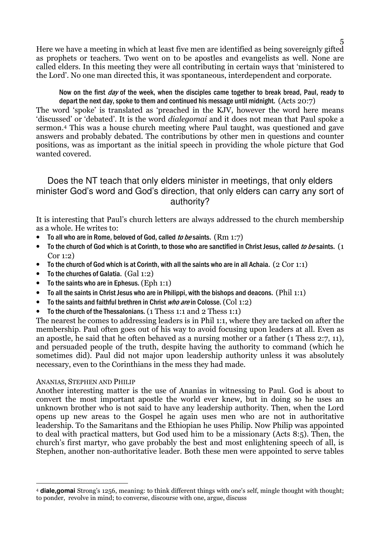Here we have a meeting in which at least five men are identified as being sovereignly gifted as prophets or teachers. Two went on to be apostles and evangelists as well. None are called elders. In this meeting they were all contributing in certain ways that 'ministered to the Lord'. No one man directed this, it was spontaneous, interdependent and corporate.

Now on the first *day* of the week, when the disciples came together to break bread, Paul, ready to depart the next day, spoke to them and continued his message until midnight. (Acts 20:7)

The word 'spoke' is translated as 'preached in the KJV, however the word here means 'discussed' or 'debated'. It is the word dialegomai and it does not mean that Paul spoke a sermon.4 This was a house church meeting where Paul taught, was questioned and gave answers and probably debated. The contributions by other men in questions and counter positions, was as important as the initial speech in providing the whole picture that God wanted covered.

# Does the NT teach that only elders minister in meetings, that only elders minister God's word and God's direction, that only elders can carry any sort of authority?

It is interesting that Paul's church letters are always addressed to the church membership as a whole. He writes to:

- To all who are in Rome, beloved of God, called to be saints.  $(Rm 1:7)$
- To the church of God which is at Corinth, to those who are sanctified in Christ Jesus, called to be saints.  $(1)$ Cor 1:2)
- To the church of God which is at Corinth, with all the saints who are in all Achaia.  $(2 \text{ Cor } 1:1)$
- To the churches of Galatia. (Gal 1:2)
- To the saints who are in Ephesus.  $(Eph 1:1)$
- To all the saints in Christ Jesus who are in Philippi, with the bishops and deacons. (Phil 1:1)
- To the saints and faithful brethren in Christ *who are* in Colosse.  $(Col 1:2)$
- To the church of the Thessalonians. (1 Thess 1:1 and 2 Thess 1:1)

The nearest he comes to addressing leaders is in Phil 1:1, where they are tacked on after the membership. Paul often goes out of his way to avoid focusing upon leaders at all. Even as an apostle, he said that he often behaved as a nursing mother or a father (1 Thess 2:7, 11), and persuaded people of the truth, despite having the authority to command (which he sometimes did). Paul did not major upon leadership authority unless it was absolutely necessary, even to the Corinthians in the mess they had made.

#### ANANIAS, STEPHEN AND PHILIP

Another interesting matter is the use of Ananias in witnessing to Paul. God is about to convert the most important apostle the world ever knew, but in doing so he uses an unknown brother who is not said to have any leadership authority. Then, when the Lord opens up new areas to the Gospel he again uses men who are not in authoritative leadership. To the Samaritans and the Ethiopian he uses Philip. Now Philip was appointed to deal with practical matters, but God used him to be a missionary (Acts 8:5). Then, the church's first martyr, who gave probably the best and most enlightening speech of all, is Stephen, another non-authoritative leader. Both these men were appointed to serve tables

 $\overline{a}$ <sup>4</sup> **diale,gomai** Strong's 1256, meaning: to think different things with one's self, mingle thought with thought; to ponder, revolve in mind; to converse, discourse with one, argue, discuss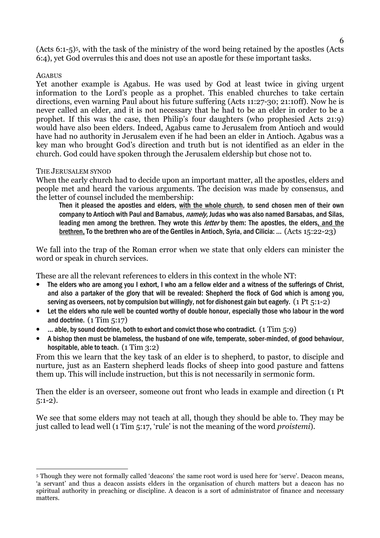(Acts 6:1-5)5, with the task of the ministry of the word being retained by the apostles (Acts 6:4), yet God overrules this and does not use an apostle for these important tasks.

#### **AGABUS**

 $\overline{a}$ 

Yet another example is Agabus. He was used by God at least twice in giving urgent information to the Lord's people as a prophet. This enabled churches to take certain directions, even warning Paul about his future suffering (Acts 11:27-30; 21:10ff). Now he is never called an elder, and it is not necessary that he had to be an elder in order to be a prophet. If this was the case, then Philip's four daughters (who prophesied Acts 21:9) would have also been elders. Indeed, Agabus came to Jerusalem from Antioch and would have had no authority in Jerusalem even if he had been an elder in Antioch. Agabus was a key man who brought God's direction and truth but is not identified as an elder in the church. God could have spoken through the Jerusalem eldership but chose not to.

#### THE JERUSALEM SYNOD

When the early church had to decide upon an important matter, all the apostles, elders and people met and heard the various arguments. The decision was made by consensus, and the letter of counsel included the membership:

Then it pleased the apostles and elders, with the whole church, to send chosen men of their own company to Antioch with Paul and Barnabus, *namely*, Judas who was also named Barsabas, and Silas, leading men among the brethren. They wrote this *letter* by them: The apostles, the elders, and the brethren, To the brethren who are of the Gentiles in Antioch, Syria, and Cilicia: … (Acts 15:22-23)

We fall into the trap of the Roman error when we state that only elders can minister the word or speak in church services.

These are all the relevant references to elders in this context in the whole NT:

- The elders who are among you I exhort, I who am a fellow elder and a witness of the sufferings of Christ, and also a partaker of the glory that will be revealed: Shepherd the flock of God which is among you, serving as overseers, not by compulsion but willingly, not for dishonest gain but eagerly. (1 Pt  $\overline{\phantom{a}}$ :1-2)
- Let the elders who rule well be counted worthy of double honour, especially those who labour in the word and doctrine.  $(1 \text{ Tim } 5:17)$
- ... able, by sound doctrine, both to exhort and convict those who contradict. (1 Tim  $5:9$ )
- A bishop then must be blameless, the husband of one wife, temperate, sober-minded, of good behaviour, hospitable, able to teach. (1 Tim 3:2)

From this we learn that the key task of an elder is to shepherd, to pastor, to disciple and nurture, just as an Eastern shepherd leads flocks of sheep into good pasture and fattens them up. This will include instruction, but this is not necessarily in sermonic form.

Then the elder is an overseer, someone out front who leads in example and direction (1 Pt 5:1-2).

We see that some elders may not teach at all, though they should be able to. They may be just called to lead well (1 Tim 5:17, 'rule' is not the meaning of the word *proistemi*).

<sup>5</sup> Though they were not formally called 'deacons' the same root word is used here for 'serve'. Deacon means, 'a servant' and thus a deacon assists elders in the organisation of church matters but a deacon has no spiritual authority in preaching or discipline. A deacon is a sort of administrator of finance and necessary matters.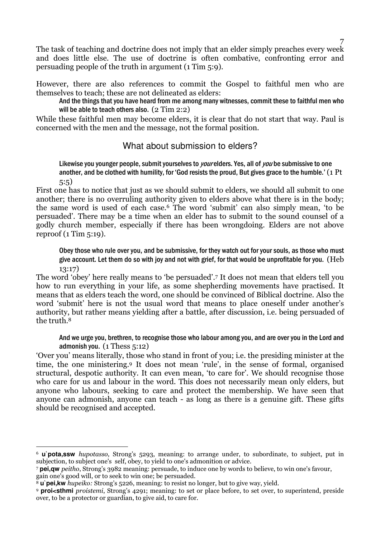The task of teaching and doctrine does not imply that an elder simply preaches every week and does little else. The use of doctrine is often combative, confronting error and persuading people of the truth in argument (1 Tim 5:9).

However, there are also references to commit the Gospel to faithful men who are themselves to teach; these are not delineated as elders:

And the things that you have heard from me among many witnesses, commit these to faithful men who will be able to teach others also. (2 Tim 2:2)

While these faithful men may become elders, it is clear that do not start that way. Paul is concerned with the men and the message, not the formal position.

### What about submission to elders?

Likewise you younger people, submit yourselves to *your* elders. Yes, all of *you* be submissive to one another, and be clothed with humility, for 'God resists the proud, But gives grace to the humble.' (1 Pt 5:5)

First one has to notice that just as we should submit to elders, we should all submit to one another; there is no overruling authority given to elders above what there is in the body; the same word is used of each case.6 The word 'submit' can also simply mean, 'to be persuaded'. There may be a time when an elder has to submit to the sound counsel of a godly church member, especially if there has been wrongdoing. Elders are not above reproof (1 Tim 5:19).

Obey those who rule over you, and be submissive, for they watch out for your souls, as those who must give account. Let them do so with joy and not with grief, for that would be unprofitable for you. (Heb 13:17)

The word 'obey' here really means to 'be persuaded'. <sup>7</sup> It does not mean that elders tell you how to run everything in your life, as some shepherding movements have practised. It means that as elders teach the word, one should be convinced of Biblical doctrine. Also the word 'submit' here is not the usual word that means to place oneself under another's authority, but rather means yielding after a battle, after discussion, i.e. being persuaded of the truth.<sup>8</sup>

And we urge you, brethren, to recognise those who labour among you, and are over you in the Lord and admonish you. (1 Thess 5:12)

'Over you' means literally, those who stand in front of you; i.e. the presiding minister at the time, the one ministering.9 It does not mean 'rule', in the sense of formal, organised structural, despotic authority. It can even mean, 'to care for'. We should recognise those who care for us and labour in the word. This does not necessarily mean only elders, but anyone who labours, seeking to care and protect the membership. We have seen that anyone can admonish, anyone can teach - as long as there is a genuine gift. These gifts should be recognised and accepted.

gain one's good will, or to seek to win one; be persuaded.

 $\overline{a}$ <sup>6</sup> **u`pota,ssw** hupotasso, Strong's 5293, meaning: to arrange under, to subordinate, to subject, put in subjection, to subject one's self, obey, to yield to one's admonition or advice.

<sup>7</sup> **pei,qw** peitho, Strong's 3982 meaning: persuade, to induce one by words to believe, to win one's favour,

<sup>8</sup> **u`pei,kw** hupeiko: Strong's 5226, meaning: to resist no longer, but to give way, yield.

<sup>9</sup> **proi<sthmi** proistemi, Strong's 4291; meaning: to set or place before, to set over, to superintend, preside over, to be a protector or guardian, to give aid, to care for.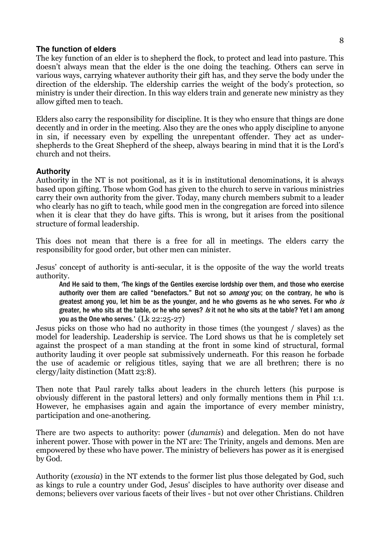#### **The function of elders**

The key function of an elder is to shepherd the flock, to protect and lead into pasture. This doesn't always mean that the elder is the one doing the teaching. Others can serve in various ways, carrying whatever authority their gift has, and they serve the body under the direction of the eldership. The eldership carries the weight of the body's protection, so ministry is under their direction. In this way elders train and generate new ministry as they allow gifted men to teach.

Elders also carry the responsibility for discipline. It is they who ensure that things are done decently and in order in the meeting. Also they are the ones who apply discipline to anyone in sin, if necessary even by expelling the unrepentant offender. They act as undershepherds to the Great Shepherd of the sheep, always bearing in mind that it is the Lord's church and not theirs.

#### **Authority**

Authority in the NT is not positional, as it is in institutional denominations, it is always based upon gifting. Those whom God has given to the church to serve in various ministries carry their own authority from the giver. Today, many church members submit to a leader who clearly has no gift to teach, while good men in the congregation are forced into silence when it is clear that they do have gifts. This is wrong, but it arises from the positional structure of formal leadership.

This does not mean that there is a free for all in meetings. The elders carry the responsibility for good order, but other men can minister.

Jesus' concept of authority is anti-secular, it is the opposite of the way the world treats authority.

And He said to them, 'The kings of the Gentiles exercise lordship over them, and those who exercise authority over them are called "benefactors." But not so *among* you; on the contrary, he who is greatest among you, let him be as the younger, and he who governs as he who serves. For who is greater, he who sits at the table, or he who serves? *Is* it not he who sits at the table? Yet I am among you as the One who serves.' (Lk 22:25-27)

Jesus picks on those who had no authority in those times (the youngest / slaves) as the model for leadership. Leadership is service. The Lord shows us that he is completely set against the prospect of a man standing at the front in some kind of structural, formal authority lauding it over people sat submissively underneath. For this reason he forbade the use of academic or religious titles, saying that we are all brethren; there is no clergy/laity distinction (Matt 23:8).

Then note that Paul rarely talks about leaders in the church letters (his purpose is obviously different in the pastoral letters) and only formally mentions them in Phil 1:1. However, he emphasises again and again the importance of every member ministry, participation and one-anothering.

There are two aspects to authority: power (dunamis) and delegation. Men do not have inherent power. Those with power in the NT are: The Trinity, angels and demons. Men are empowered by these who have power. The ministry of believers has power as it is energised by God.

Authority (exousia) in the NT extends to the former list plus those delegated by God, such as kings to rule a country under God, Jesus' disciples to have authority over disease and demons; believers over various facets of their lives - but not over other Christians. Children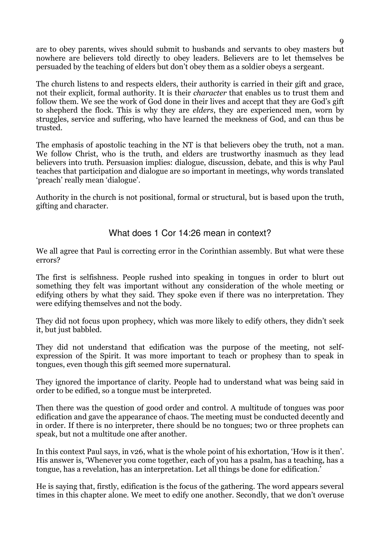are to obey parents, wives should submit to husbands and servants to obey masters but nowhere are believers told directly to obey leaders. Believers are to let themselves be persuaded by the teaching of elders but don't obey them as a soldier obeys a sergeant.

The church listens to and respects elders, their authority is carried in their gift and grace, not their explicit, formal authority. It is their character that enables us to trust them and follow them. We see the work of God done in their lives and accept that they are God's gift to shepherd the flock. This is why they are elders, they are experienced men, worn by struggles, service and suffering, who have learned the meekness of God, and can thus be trusted.

The emphasis of apostolic teaching in the NT is that believers obey the truth, not a man. We follow Christ, who is the truth, and elders are trustworthy inasmuch as they lead believers into truth. Persuasion implies: dialogue, discussion, debate, and this is why Paul teaches that participation and dialogue are so important in meetings, why words translated 'preach' really mean 'dialogue'.

Authority in the church is not positional, formal or structural, but is based upon the truth, gifting and character.

# What does 1 Cor 14:26 mean in context?

We all agree that Paul is correcting error in the Corinthian assembly. But what were these errors?

The first is selfishness. People rushed into speaking in tongues in order to blurt out something they felt was important without any consideration of the whole meeting or edifying others by what they said. They spoke even if there was no interpretation. They were edifying themselves and not the body.

They did not focus upon prophecy, which was more likely to edify others, they didn't seek it, but just babbled.

They did not understand that edification was the purpose of the meeting, not selfexpression of the Spirit. It was more important to teach or prophesy than to speak in tongues, even though this gift seemed more supernatural.

They ignored the importance of clarity. People had to understand what was being said in order to be edified, so a tongue must be interpreted.

Then there was the question of good order and control. A multitude of tongues was poor edification and gave the appearance of chaos. The meeting must be conducted decently and in order. If there is no interpreter, there should be no tongues; two or three prophets can speak, but not a multitude one after another.

In this context Paul says, in v26, what is the whole point of his exhortation, 'How is it then'. His answer is, 'Whenever you come together, each of you has a psalm, has a teaching, has a tongue, has a revelation, has an interpretation. Let all things be done for edification.'

He is saying that, firstly, edification is the focus of the gathering. The word appears several times in this chapter alone. We meet to edify one another. Secondly, that we don't overuse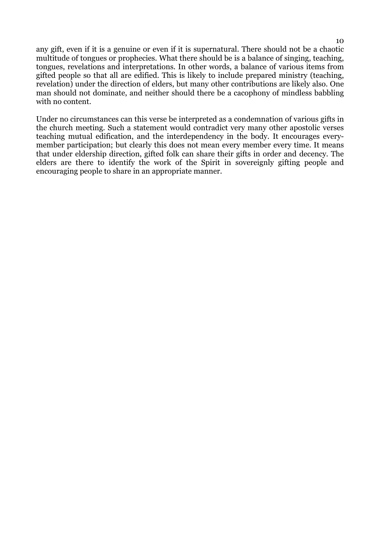any gift, even if it is a genuine or even if it is supernatural. There should not be a chaotic multitude of tongues or prophecies. What there should be is a balance of singing, teaching, tongues, revelations and interpretations. In other words, a balance of various items from gifted people so that all are edified. This is likely to include prepared ministry (teaching, revelation) under the direction of elders, but many other contributions are likely also. One man should not dominate, and neither should there be a cacophony of mindless babbling with no content.

Under no circumstances can this verse be interpreted as a condemnation of various gifts in the church meeting. Such a statement would contradict very many other apostolic verses teaching mutual edification, and the interdependency in the body. It encourages everymember participation; but clearly this does not mean every member every time. It means that under eldership direction, gifted folk can share their gifts in order and decency. The elders are there to identify the work of the Spirit in sovereignly gifting people and encouraging people to share in an appropriate manner.